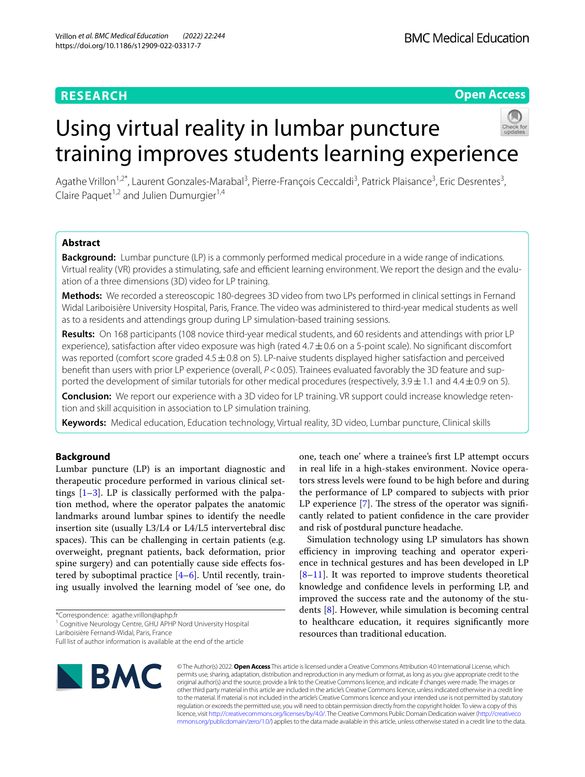# **RESEARCH**

**Open Access**

# Using virtual reality in lumbar puncture training improves students learning experience



Agathe Vrillon<sup>1,2\*</sup>, Laurent Gonzales-Marabal<sup>3</sup>, Pierre-François Ceccaldi<sup>3</sup>, Patrick Plaisance<sup>3</sup>, Eric Desrentes<sup>3</sup>, Claire Paquet<sup>1,2</sup> and Julien Dumurgier<sup>1,4</sup>

# **Abstract**

**Background:** Lumbar puncture (LP) is a commonly performed medical procedure in a wide range of indications. Virtual reality (VR) provides a stimulating, safe and efficient learning environment. We report the design and the evaluation of a three dimensions (3D) video for LP training.

**Methods:** We recorded a stereoscopic 180-degrees 3D video from two LPs performed in clinical settings in Fernand Widal Lariboisière University Hospital, Paris, France. The video was administered to third-year medical students as well as to a residents and attendings group during LP simulation-based training sessions.

**Results:** On 168 participants (108 novice third-year medical students, and 60 residents and attendings with prior LP experience), satisfaction after video exposure was high (rated  $4.7\pm0.6$  on a 5-point scale). No significant discomfort was reported (comfort score graded 4.5 ± 0.8 on 5). LP-naive students displayed higher satisfaction and perceived benefit than users with prior LP experience (overall,  $P < 0.05$ ). Trainees evaluated favorably the 3D feature and supported the development of similar tutorials for other medical procedures (respectively, 3.9 ± 1.1 and 4.4 ± 0.9 on 5).

**Conclusion:** We report our experience with a 3D video for LP training. VR support could increase knowledge retention and skill acquisition in association to LP simulation training.

**Keywords:** Medical education, Education technology, Virtual reality, 3D video, Lumbar puncture, Clinical skills

# **Background**

Lumbar puncture (LP) is an important diagnostic and therapeutic procedure performed in various clinical settings  $[1-3]$  $[1-3]$  $[1-3]$ . LP is classically performed with the palpation method, where the operator palpates the anatomic landmarks around lumbar spines to identify the needle insertion site (usually L3/L4 or L4/L5 intervertebral disc spaces). This can be challenging in certain patients (e.g. overweight, pregnant patients, back deformation, prior spine surgery) and can potentially cause side efects fostered by suboptimal practice [[4](#page-6-2)[–6](#page-6-3)]. Until recently, training usually involved the learning model of 'see one, do

\*Correspondence: agathe.vrillon@aphp.fr

Lariboisière Fernand-Widal, Paris, France

Full list of author information is available at the end of the article



one, teach one' where a trainee's frst LP attempt occurs in real life in a high-stakes environment. Novice operators stress levels were found to be high before and during the performance of LP compared to subjects with prior LP experience  $[7]$  $[7]$ . The stress of the operator was significantly related to patient confdence in the care provider and risk of postdural puncture headache.

Simulation technology using LP simulators has shown efficiency in improving teaching and operator experience in technical gestures and has been developed in LP  $[8-11]$  $[8-11]$ . It was reported to improve students theoretical knowledge and confdence levels in performing LP, and improved the success rate and the autonomy of the students [[8\]](#page-6-5). However, while simulation is becoming central to healthcare education, it requires signifcantly more resources than traditional education.

© The Author(s) 2022. **Open Access** This article is licensed under a Creative Commons Attribution 4.0 International License, which permits use, sharing, adaptation, distribution and reproduction in any medium or format, as long as you give appropriate credit to the original author(s) and the source, provide a link to the Creative Commons licence, and indicate if changes were made. The images or other third party material in this article are included in the article's Creative Commons licence, unless indicated otherwise in a credit line to the material. If material is not included in the article's Creative Commons licence and your intended use is not permitted by statutory regulation or exceeds the permitted use, you will need to obtain permission directly from the copyright holder. To view a copy of this licence, visit [http://creativecommons.org/licenses/by/4.0/.](http://creativecommons.org/licenses/by/4.0/) The Creative Commons Public Domain Dedication waiver ([http://creativeco](http://creativecommons.org/publicdomain/zero/1.0/) [mmons.org/publicdomain/zero/1.0/](http://creativecommons.org/publicdomain/zero/1.0/)) applies to the data made available in this article, unless otherwise stated in a credit line to the data.

<sup>&</sup>lt;sup>1</sup> Cognitive Neurology Centre, GHU APHP Nord University Hospital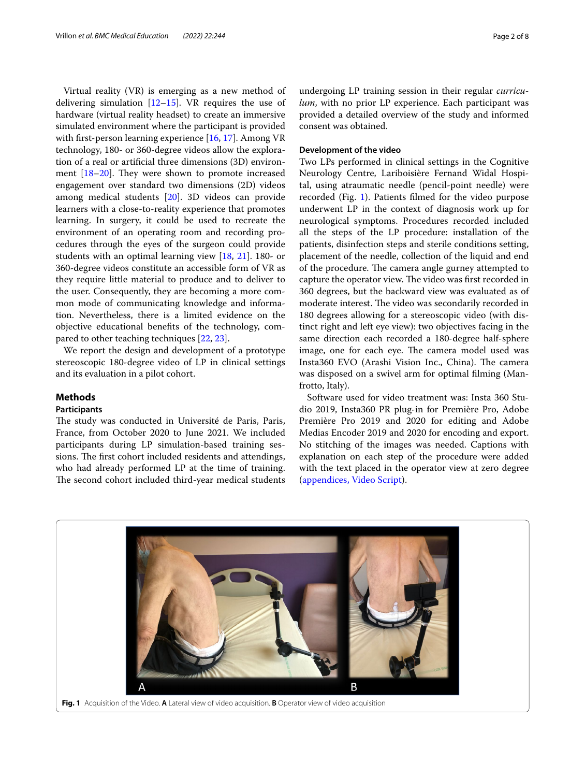Virtual reality (VR) is emerging as a new method of delivering simulation  $[12–15]$  $[12–15]$  $[12–15]$  $[12–15]$ . VR requires the use of hardware (virtual reality headset) to create an immersive simulated environment where the participant is provided with first-person learning experience [[16,](#page-7-2) [17](#page-7-3)]. Among VR technology, 180- or 360-degree videos allow the exploration of a real or artifcial three dimensions (3D) environment  $[18–20]$  $[18–20]$ . They were shown to promote increased engagement over standard two dimensions (2D) videos among medical students [\[20](#page-7-5)]. 3D videos can provide learners with a close-to-reality experience that promotes learning. In surgery, it could be used to recreate the environment of an operating room and recording procedures through the eyes of the surgeon could provide students with an optimal learning view [\[18](#page-7-4), [21](#page-7-6)]. 180- or 360-degree videos constitute an accessible form of VR as they require little material to produce and to deliver to the user. Consequently, they are becoming a more common mode of communicating knowledge and information. Nevertheless, there is a limited evidence on the objective educational benefts of the technology, compared to other teaching techniques [\[22](#page-7-7), [23\]](#page-7-8).

We report the design and development of a prototype stereoscopic 180-degree video of LP in clinical settings and its evaluation in a pilot cohort.

# **Methods**

# **Participants**

The study was conducted in Université de Paris, Paris, France, from October 2020 to June 2021. We included participants during LP simulation-based training sessions. The first cohort included residents and attendings, who had already performed LP at the time of training. The second cohort included third-year medical students

undergoing LP training session in their regular *curriculum*, with no prior LP experience. Each participant was provided a detailed overview of the study and informed consent was obtained.

# **Development of the video**

Two LPs performed in clinical settings in the Cognitive Neurology Centre, Lariboisière Fernand Widal Hospital, using atraumatic needle (pencil-point needle) were recorded (Fig. [1\)](#page-1-0). Patients flmed for the video purpose underwent LP in the context of diagnosis work up for neurological symptoms. Procedures recorded included all the steps of the LP procedure: installation of the patients, disinfection steps and sterile conditions setting, placement of the needle, collection of the liquid and end of the procedure. The camera angle gurney attempted to capture the operator view. The video was first recorded in 360 degrees, but the backward view was evaluated as of moderate interest. The video was secondarily recorded in 180 degrees allowing for a stereoscopic video (with distinct right and left eye view): two objectives facing in the same direction each recorded a 180-degree half-sphere image, one for each eye. The camera model used was Insta360 EVO (Arashi Vision Inc., China). The camera was disposed on a swivel arm for optimal flming (Manfrotto, Italy).

Software used for video treatment was: Insta 360 Studio 2019, Insta360 PR plug-in for Première Pro, Adobe Première Pro 2019 and 2020 for editing and Adobe Medias Encoder 2019 and 2020 for encoding and export. No stitching of the images was needed. Captions with explanation on each step of the procedure were added with the text placed in the operator view at zero degree ([appendices, Video Script](#page-6-7)).

<span id="page-1-0"></span>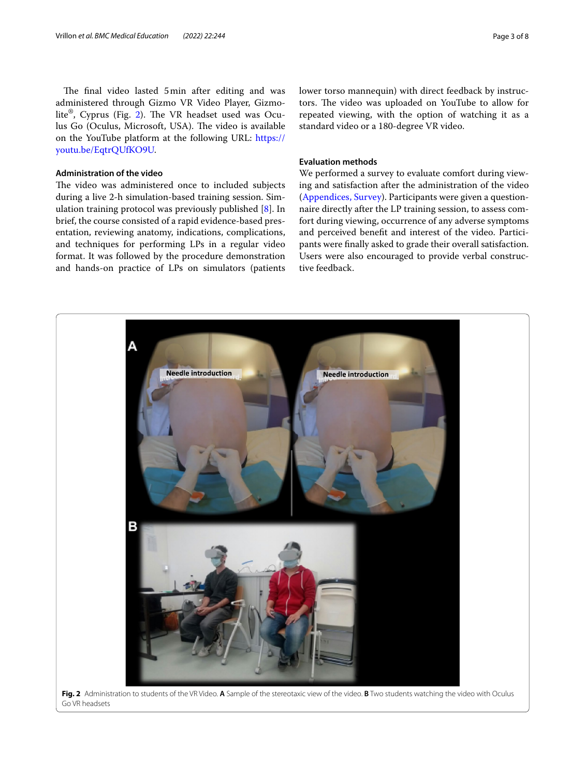The final video lasted 5min after editing and was administered through Gizmo VR Video Player, Gizmo-lite®, Cyprus (Fig. [2\)](#page-2-0). The VR headset used was Oculus Go (Oculus, Microsoft, USA). The video is available on the YouTube platform at the following URL: [https://](https://youtu.be/EqtrQUfKO9U) [youtu.be/EqtrQUfKO9U](https://youtu.be/EqtrQUfKO9U).

# **Administration of the video**

The video was administered once to included subjects during a live 2-h simulation-based training session. Simulation training protocol was previously published [[8\]](#page-6-5). In brief, the course consisted of a rapid evidence-based presentation, reviewing anatomy, indications, complications, and techniques for performing LPs in a regular video format. It was followed by the procedure demonstration and hands-on practice of LPs on simulators (patients lower torso mannequin) with direct feedback by instructors. The video was uploaded on YouTube to allow for repeated viewing, with the option of watching it as a standard video or a 180-degree VR video.

# **Evaluation methods**

We performed a survey to evaluate comfort during viewing and satisfaction after the administration of the video ([Appendices, Survey](#page-6-7)). Participants were given a questionnaire directly after the LP training session, to assess comfort during viewing, occurrence of any adverse symptoms and perceived beneft and interest of the video. Participants were fnally asked to grade their overall satisfaction. Users were also encouraged to provide verbal constructive feedback.

<span id="page-2-0"></span>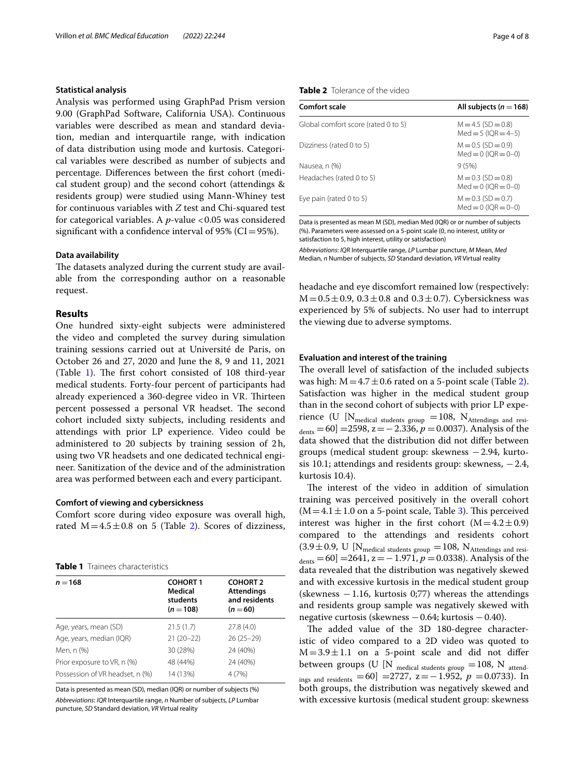#### **Statistical analysis**

Analysis was performed using GraphPad Prism version 9.00 (GraphPad Software, California USA). Continuous variables were described as mean and standard deviation, median and interquartile range, with indication of data distribution using mode and kurtosis. Categorical variables were described as number of subjects and percentage. Diferences between the frst cohort (medical student group) and the second cohort (attendings & residents group) were studied using Mann-Whiney test for continuous variables with *Z* test and Chi-squared test for categorical variables. A *p*-value <0.05 was considered significant with a confidence interval of 95% ( $CI = 95$ %).

## **Data availability**

The datasets analyzed during the current study are available from the corresponding author on a reasonable request.

# **Results**

One hundred sixty-eight subjects were administered the video and completed the survey during simulation training sessions carried out at Université de Paris, on October 26 and 27, 2020 and June the 8, 9 and 11, 2021 (Table [1\)](#page-3-0). The first cohort consisted of  $108$  third-year medical students. Forty-four percent of participants had already experienced a 360-degree video in VR. Thirteen percent possessed a personal VR headset. The second cohort included sixty subjects, including residents and attendings with prior LP experience. Video could be administered to 20 subjects by training session of 2h, using two VR headsets and one dedicated technical engineer. Sanitization of the device and of the administration area was performed between each and every participant.

# **Comfort of viewing and cybersickness**

Comfort score during video exposure was overall high, rated  $M=4.5\pm0.8$  on 5 (Table [2](#page-3-1)). Scores of dizziness,

<span id="page-3-0"></span>

| $n = 168$                       | <b>COHORT1</b><br>Medical<br>students<br>$(n = 108)$ | <b>COHORT 2</b><br><b>Attendings</b><br>and residents<br>$(n = 60)$ |
|---------------------------------|------------------------------------------------------|---------------------------------------------------------------------|
| Age, years, mean (SD)           | 21.5(1.7)                                            | 27.8(4.0)                                                           |
| Age, years, median (IQR)        | $21(20-22)$                                          | $26(25-29)$                                                         |
| Men, n (%)                      | 30 (28%)                                             | 24 (40%)                                                            |
| Prior exposure to VR, n (%)     | 48 (44%)                                             | 24 (40%)                                                            |
| Possession of VR headset, n (%) | 14 (13%)                                             | 4 (7%)                                                              |

Data is presented as mean (SD), median (IQR) or number of subjects (%) *Abbreviations*: *IQR* Interquartile range, *n* Number of subjects, *LP* Lumbar puncture, *SD* Standard deviation, *VR* Virtual reality

# <span id="page-3-1"></span>**Table 2** Tolerance of the video

| Comfort scale                       | All subjects ( $n = 168$ )                         |
|-------------------------------------|----------------------------------------------------|
| Global comfort score (rated 0 to 5) | $M = 4.5$ (SD = 0.8)<br>$Med = 5 (IOR = 4-5)$      |
| Dizziness (rated 0 to 5)            | $M = 0.5$ (SD = 0.9)<br>$Med = 0$ ( $OR = 0 - 0$ ) |
| Nausea, n (%)                       | 9(5%)                                              |
| Headaches (rated 0 to 5)            | $M = 0.3$ (SD = 0.8)<br>$Med = 0$ ( $OR = 0 - 0$ ) |
| Eye pain (rated 0 to 5)             | $M = 0.3$ (SD = 0.7)<br>$Med = 0$ ( $OR = 0 - 0$ ) |

Data is presented as mean M (SD), median Med (IQR) or or number of subjects (%). Parameters were assessed on a 5-point scale (0, no interest, utility or satisfaction to 5, high interest, utility or satisfaction)

*Abbreviations*: *IQR* Interquartile range, *LP* Lumbar puncture, *M* Mean, *Med* Median, *n* Number of subjects, *SD* Standard deviation, *VR* Virtual reality

headache and eye discomfort remained low (respectively:  $M = 0.5 \pm 0.9$ ,  $0.3 \pm 0.8$  and  $0.3 \pm 0.7$ ). Cybersickness was experienced by 5% of subjects. No user had to interrupt the viewing due to adverse symptoms.

# **Evaluation and interest of the training**

The overall level of satisfaction of the included subjects was high:  $M = 4.7 \pm 0.6$  rated on a 5-point scale (Table [2](#page-3-1)). Satisfaction was higher in the medical student group than in the second cohort of subjects with prior LP experience (U [N<sub>medical students group</sub> = 108, N<sub>Attendings and resi-</sub>  $d_{\text{ents}} = 60$ ] =2598, z = -2.336, p = 0.0037). Analysis of the data showed that the distribution did not difer between groups (medical student group: skewness −2.94, kurtosis 10.1; attendings and residents group: skewness, −2.4, kurtosis 10.4).

The interest of the video in addition of simulation training was perceived positively in the overall cohort  $(M=4.1 \pm 1.0$  on a 5-point scale, Table [3](#page-4-0)). This perceived interest was higher in the first cohort  $(M=4.2\pm0.9)$ compared to the attendings and residents cohort  $(3.9\pm0.9,~{\rm U~|N_{\rm medical~students~group}}=108,~{\rm N_{Attendings~and~resi}}$  $_{\text{dents}} = 60$ ] =2641, z = −1.971,  $p = 0.0338$ ). Analysis of the data revealed that the distribution was negatively skewed and with excessive kurtosis in the medical student group (skewness  $-1.16$ , kurtosis 0;77) whereas the attendings and residents group sample was negatively skewed with negative curtosis (skewness −0.64; kurtosis −0.40).

The added value of the 3D 180-degree characteristic of video compared to a 2D video was quoted to  $M=3.9\pm1.1$  on a 5-point scale and did not differ between groups (U [N  $_{\rm{mediical\ students\ group}}$  =108, N  $_{\rm{attend-}}$ ings and residents =60] =2727,  $z = -1.952$ ,  $p = 0.0733$ ). In both groups, the distribution was negatively skewed and with excessive kurtosis (medical student group: skewness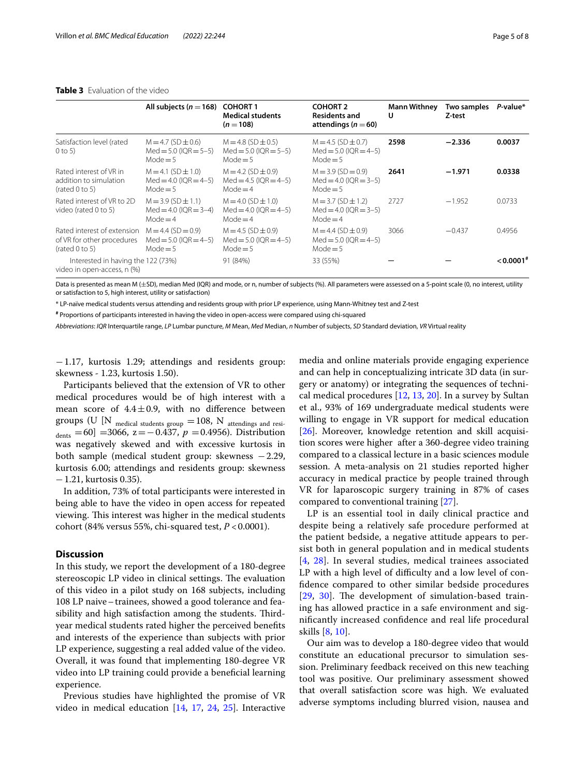# <span id="page-4-0"></span>**Table 3** Evaluation of the video

|                                                                             | All subjects ( $n = 168$ )                                            | <b>COHORT 1</b><br><b>Medical students</b><br>$(n = 108)$         | <b>COHORT 2</b><br><b>Residents and</b><br>attendings ( $n = 60$ )   | <b>Mann Withney</b><br>U | Two samples<br>Z-test | P-value*              |
|-----------------------------------------------------------------------------|-----------------------------------------------------------------------|-------------------------------------------------------------------|----------------------------------------------------------------------|--------------------------|-----------------------|-----------------------|
| Satisfaction level (rated<br>$0$ to 5)                                      | $M = 4.7$ (SD $\pm$ 0.6)<br>$Med = 5.0$ (IQR = 5-5)<br>Mode $=$ 5     | $M = 4.8$ (SD $\pm$ 0.5)<br>$Med = 5.0$ (IOR = 5-5)<br>Mode $=$ 5 | $M = 4.5$ (SD $\pm$ 0.7)<br>$Med = 5.0$ (IOR = 4-5)<br>Mode $=$ 5    | 2598                     | $-2.336$              | 0.0037                |
| Rated interest of VR in<br>addition to simulation<br>(rated 0 to 5)         | $M = 4.1$ (SD $\pm$ 1.0)<br>$Med = 4.0$ ( $IOR = 4-5$ )<br>Mode $=$ 5 | $M = 4.2$ (SD $\pm$ 0.9)<br>$Med = 4.5 (IOR = 4-5)$<br>$Mode = 4$ | $M = 3.9$ (SD = 0.9)<br>$Med = 4.0$ ( $OR = 3-5$ )<br>Mode $=$ 5     | 2641                     | $-1.971$              | 0.0338                |
| Rated interest of VR to 2D<br>video (rated 0 to 5)                          | $M = 3.9$ (SD $\pm$ 1.1)<br>$Med = 4.0$ (IOR = 3-4)<br>Mode $=$ 4     | $M = 4.0$ (SD $\pm$ 1.0)<br>$Med = 4.0$ (IOR = 4-5)<br>$Mode = 4$ | $M = 3.7$ (SD $\pm$ 1.2)<br>$Med = 4.0$ ( $OR = 3-5$ )<br>$Mode = 4$ | 2727                     | $-1.952$              | 0.0733                |
| Rated interest of extension<br>of VR for other procedures<br>(rated 0 to 5) | $M = 4.4$ (SD = 0.9)<br>$Med = 5.0$ (IQR $= 4-5$ )<br>Mode $=$ 5      | $M = 4.5$ (SD $\pm$ 0.9)<br>$Med = 5.0$ (IOR = 4-5)<br>Mode $=$ 5 | $M = 4.4$ (SD $\pm$ 0.9)<br>$Med = 5.0$ (IOR = 4-5)<br>Mode $=$ 5    | 3066                     | $-0.437$              | 0.4956                |
| Interested in having the 122 (73%)<br>video in open-access, n (%)           |                                                                       | 91 (84%)                                                          | 33 (55%)                                                             |                          |                       | $0.0001$ <sup>#</sup> |

Data is presented as mean M (±SD), median Med (IQR) and mode, or n, number of subjects (%). All parameters were assessed on a 5-point scale (0, no interest, utility or satisfaction to 5, high interest, utility or satisfaction)

\* LP-naïve medical students versus attending and residents group with prior LP experience, using Mann-Whitney test and Z-test

**#** Proportions of participants interested in having the video in open-access were compared using chi-squared

*Abbreviations*: *IQR* Interquartile range, *LP* Lumbar puncture, *M* Mean, *Med* Median, *n* Number of subjects, *SD* Standard deviation, *VR* Virtual reality

−1.17, kurtosis 1.29; attendings and residents group: skewness - 1.23, kurtosis 1.50).

Participants believed that the extension of VR to other medical procedures would be of high interest with a mean score of  $4.4 \pm 0.9$ , with no difference between groups (U [N  $_{\text{mediical students group}} = 108$ , N  $_{\text{attendings and resi-}$  $_{\text{dents}}$  =60] =3066, z = -0.437,  $p$  =0.4956). Distribution was negatively skewed and with excessive kurtosis in both sample (medical student group: skewness −2.29, kurtosis 6.00; attendings and residents group: skewness −1.21, kurtosis 0.35).

In addition, 73% of total participants were interested in being able to have the video in open access for repeated viewing. This interest was higher in the medical students cohort (84% versus 55%, chi-squared test, *P* <0.0001).

# **Discussion**

In this study, we report the development of a 180-degree stereoscopic LP video in clinical settings. The evaluation of this video in a pilot study on 168 subjects, including 108 LP naive–trainees, showed a good tolerance and feasibility and high satisfaction among the students. Thirdyear medical students rated higher the perceived benefts and interests of the experience than subjects with prior LP experience, suggesting a real added value of the video. Overall, it was found that implementing 180-degree VR video into LP training could provide a benefcial learning experience.

Previous studies have highlighted the promise of VR video in medical education [\[14,](#page-7-9) [17](#page-7-3), [24](#page-7-10), [25](#page-7-11)]. Interactive media and online materials provide engaging experience and can help in conceptualizing intricate 3D data (in surgery or anatomy) or integrating the sequences of technical medical procedures [\[12](#page-7-0), [13,](#page-7-12) [20](#page-7-5)]. In a survey by Sultan et al., 93% of 169 undergraduate medical students were willing to engage in VR support for medical education [[26\]](#page-7-13). Moreover, knowledge retention and skill acquisition scores were higher after a 360-degree video training compared to a classical lecture in a basic sciences module session. A meta-analysis on 21 studies reported higher accuracy in medical practice by people trained through VR for laparoscopic surgery training in 87% of cases compared to conventional training [[27](#page-7-14)].

LP is an essential tool in daily clinical practice and despite being a relatively safe procedure performed at the patient bedside, a negative attitude appears to persist both in general population and in medical students [[4](#page-6-2), [28\]](#page-7-15). In several studies, medical trainees associated LP with a high level of difficulty and a low level of confdence compared to other similar bedside procedures [[29](#page-7-16), [30](#page-7-17)]. The development of simulation-based training has allowed practice in a safe environment and signifcantly increased confdence and real life procedural skills [\[8](#page-6-5), [10](#page-6-8)].

Our aim was to develop a 180-degree video that would constitute an educational precursor to simulation session. Preliminary feedback received on this new teaching tool was positive. Our preliminary assessment showed that overall satisfaction score was high. We evaluated adverse symptoms including blurred vision, nausea and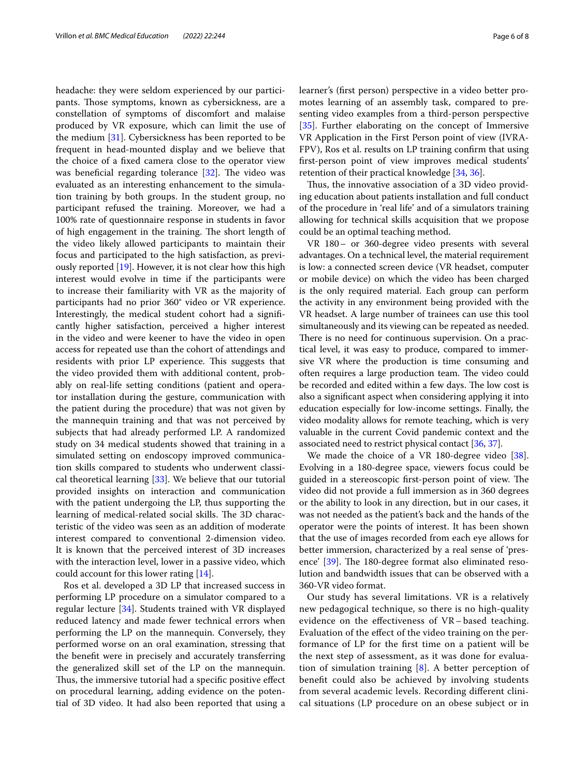headache: they were seldom experienced by our participants. Those symptoms, known as cybersickness, are a constellation of symptoms of discomfort and malaise produced by VR exposure, which can limit the use of the medium [[31\]](#page-7-18). Cybersickness has been reported to be frequent in head-mounted display and we believe that the choice of a fxed camera close to the operator view was beneficial regarding tolerance  $[32]$ . The video was evaluated as an interesting enhancement to the simulation training by both groups. In the student group, no participant refused the training. Moreover, we had a 100% rate of questionnaire response in students in favor of high engagement in the training. The short length of the video likely allowed participants to maintain their focus and participated to the high satisfaction, as previously reported [[19](#page-7-20)]. However, it is not clear how this high interest would evolve in time if the participants were to increase their familiarity with VR as the majority of participants had no prior 360° video or VR experience. Interestingly, the medical student cohort had a signifcantly higher satisfaction, perceived a higher interest in the video and were keener to have the video in open access for repeated use than the cohort of attendings and residents with prior LP experience. This suggests that the video provided them with additional content, probably on real-life setting conditions (patient and operator installation during the gesture, communication with the patient during the procedure) that was not given by the mannequin training and that was not perceived by subjects that had already performed LP. A randomized study on 34 medical students showed that training in a simulated setting on endoscopy improved communication skills compared to students who underwent classical theoretical learning [[33\]](#page-7-21). We believe that our tutorial provided insights on interaction and communication with the patient undergoing the LP, thus supporting the learning of medical-related social skills. The 3D characteristic of the video was seen as an addition of moderate interest compared to conventional 2-dimension video. It is known that the perceived interest of 3D increases with the interaction level, lower in a passive video, which could account for this lower rating [[14](#page-7-9)].

Ros et al. developed a 3D LP that increased success in performing LP procedure on a simulator compared to a regular lecture [[34\]](#page-7-22). Students trained with VR displayed reduced latency and made fewer technical errors when performing the LP on the mannequin. Conversely, they performed worse on an oral examination, stressing that the beneft were in precisely and accurately transferring the generalized skill set of the LP on the mannequin. Thus, the immersive tutorial had a specific positive effect on procedural learning, adding evidence on the potential of 3D video. It had also been reported that using a learner's (frst person) perspective in a video better promotes learning of an assembly task, compared to presenting video examples from a third-person perspective [[35\]](#page-7-23). Further elaborating on the concept of Immersive VR Application in the First Person point of view (IVRA-FPV), Ros et al. results on LP training confrm that using frst-person point of view improves medical students' retention of their practical knowledge [\[34,](#page-7-22) [36](#page-7-24)].

Thus, the innovative association of a 3D video providing education about patients installation and full conduct of the procedure in 'real life' and of a simulators training allowing for technical skills acquisition that we propose could be an optimal teaching method.

VR 180– or 360-degree video presents with several advantages. On a technical level, the material requirement is low: a connected screen device (VR headset, computer or mobile device) on which the video has been charged is the only required material. Each group can perform the activity in any environment being provided with the VR headset. A large number of trainees can use this tool simultaneously and its viewing can be repeated as needed. There is no need for continuous supervision. On a practical level, it was easy to produce, compared to immersive VR where the production is time consuming and often requires a large production team. The video could be recorded and edited within a few days. The low cost is also a signifcant aspect when considering applying it into education especially for low-income settings. Finally, the video modality allows for remote teaching, which is very valuable in the current Covid pandemic context and the associated need to restrict physical contact [[36,](#page-7-24) [37\]](#page-7-25).

We made the choice of a VR 180-degree video [\[38](#page-7-26)]. Evolving in a 180-degree space, viewers focus could be guided in a stereoscopic first-person point of view. The video did not provide a full immersion as in 360 degrees or the ability to look in any direction, but in our cases, it was not needed as the patient's back and the hands of the operator were the points of interest. It has been shown that the use of images recorded from each eye allows for better immersion, characterized by a real sense of 'pres-ence' [\[39](#page-7-27)]. The 180-degree format also eliminated resolution and bandwidth issues that can be observed with a 360-VR video format.

Our study has several limitations. VR is a relatively new pedagogical technique, so there is no high-quality evidence on the efectiveness of VR – based teaching. Evaluation of the efect of the video training on the performance of LP for the frst time on a patient will be the next step of assessment, as it was done for evaluation of simulation training  $[8]$  $[8]$ . A better perception of beneft could also be achieved by involving students from several academic levels. Recording diferent clinical situations (LP procedure on an obese subject or in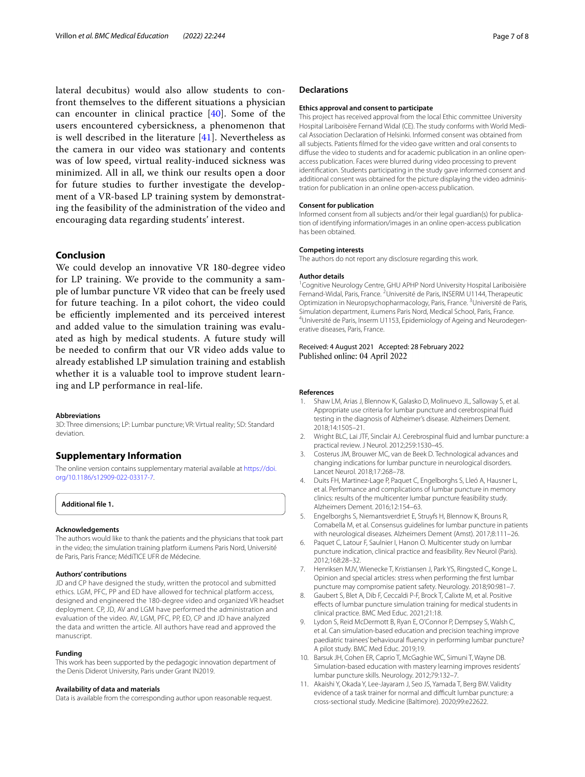lateral decubitus) would also allow students to confront themselves to the diferent situations a physician can encounter in clinical practice [[40\]](#page-7-28). Some of the users encountered cybersickness, a phenomenon that is well described in the literature [\[41](#page-7-29)]. Nevertheless as the camera in our video was stationary and contents was of low speed, virtual reality-induced sickness was minimized. All in all, we think our results open a door for future studies to further investigate the development of a VR-based LP training system by demonstrating the feasibility of the administration of the video and encouraging data regarding students' interest.

## **Conclusion**

We could develop an innovative VR 180-degree video for LP training. We provide to the community a sample of lumbar puncture VR video that can be freely used for future teaching. In a pilot cohort, the video could be efficiently implemented and its perceived interest and added value to the simulation training was evaluated as high by medical students. A future study will be needed to confrm that our VR video adds value to already established LP simulation training and establish whether it is a valuable tool to improve student learning and LP performance in real-life.

#### **Abbreviations**

3D: Three dimensions; LP: Lumbar puncture; VR: Virtual reality; SD: Standard deviation.

# **Supplementary Information**

The online version contains supplementary material available at [https://doi.](https://doi.org/10.1186/s12909-022-03317-7) [org/10.1186/s12909-022-03317-7](https://doi.org/10.1186/s12909-022-03317-7).

<span id="page-6-7"></span>**Additional fle 1.**

#### **Acknowledgements**

The authors would like to thank the patients and the physicians that took part in the video; the simulation training platform iLumens Paris Nord, Université de Paris, Paris France; MédiTICE UFR de Médecine.

#### **Authors' contributions**

JD and CP have designed the study, written the protocol and submitted ethics. LGM, PFC, PP and ED have allowed for technical platform access, designed and engineered the 180-degree video and organized VR headset deployment. CP, JD, AV and LGM have performed the administration and evaluation of the video. AV, LGM, PFC, PP, ED, CP and JD have analyzed the data and written the article. All authors have read and approved the manuscript.

#### **Funding**

This work has been supported by the pedagogic innovation department of the Denis Diderot University, Paris under Grant IN2019.

#### **Availability of data and materials**

Data is available from the corresponding author upon reasonable request.

#### **Declarations**

#### **Ethics approval and consent to participate**

This project has received approval from the local Ethic committee University Hospital Lariboisère Fernand Widal (CE). The study conforms with World Medical Association Declaration of Helsinki. Informed consent was obtained from all subjects. Patients flmed for the video gave written and oral consents to difuse the video to students and for academic publication in an online openaccess publication. Faces were blurred during video processing to prevent identifcation. Students participating in the study gave informed consent and additional consent was obtained for the picture displaying the video administration for publication in an online open-access publication.

#### **Consent for publication**

Informed consent from all subjects and/or their legal guardian(s) for publication of identifying information/images in an online open-access publication has been obtained.

#### **Competing interests**

The authors do not report any disclosure regarding this work.

#### **Author details**

<sup>1</sup> Cognitive Neurology Centre, GHU APHP Nord University Hospital Lariboisière Fernand-Widal, Paris, France.<sup>2</sup> Université de Paris, INSERM U1144, Therapeutic Optimization in Neuropsychopharmacology, Paris, France.<sup>3</sup> Université de Paris, Simulation department, iLumens Paris Nord, Medical School, Paris, France. <sup>4</sup>Université de Paris, Inserm U1153, Epidemiology of Ageing and Neurodegenerative diseases, Paris, France.

## Received: 4 August 2021 Accepted: 28 February 2022 Published online: 04 April 2022

#### **References**

- <span id="page-6-0"></span>Shaw LM, Arias J, Blennow K, Galasko D, Molinuevo JL, Salloway S, et al. Appropriate use criteria for lumbar puncture and cerebrospinal fuid testing in the diagnosis of Alzheimer's disease. Alzheimers Dement. 2018;14:1505–21.
- 2. Wright BLC, Lai JTF, Sinclair AJ. Cerebrospinal fuid and lumbar puncture: a practical review. J Neurol. 2012;259:1530–45.
- <span id="page-6-1"></span>3. Costerus JM, Brouwer MC, van de Beek D. Technological advances and changing indications for lumbar puncture in neurological disorders. Lancet Neurol. 2018;17:268–78.
- <span id="page-6-2"></span>4. Duits FH, Martinez-Lage P, Paquet C, Engelborghs S, Lleó A, Hausner L, et al. Performance and complications of lumbar puncture in memory clinics: results of the multicenter lumbar puncture feasibility study. Alzheimers Dement. 2016;12:154–63.
- 5. Engelborghs S, Niemantsverdriet E, Struyfs H, Blennow K, Brouns R, Comabella M, et al. Consensus guidelines for lumbar puncture in patients with neurological diseases. Alzheimers Dement (Amst). 2017;8:111–26.
- <span id="page-6-3"></span>6. Paquet C, Latour F, Saulnier I, Hanon O. Multicenter study on lumbar puncture indication, clinical practice and feasibility. Rev Neurol (Paris). 2012;168:28–32.
- <span id="page-6-4"></span>Henriksen MJV, Wienecke T, Kristiansen J, Park YS, Ringsted C, Konge L. Opinion and special articles: stress when performing the frst lumbar puncture may compromise patient safety. Neurology. 2018;90:981–7.
- <span id="page-6-5"></span>Gaubert S, Blet A, Dib F, Ceccaldi P-F, Brock T, Calixte M, et al. Positive efects of lumbar puncture simulation training for medical students in clinical practice. BMC Med Educ. 2021;21:18.
- 9. Lydon S, Reid McDermott B, Ryan E, O'Connor P, Dempsey S, Walsh C, et al. Can simulation-based education and precision teaching improve paediatric trainees' behavioural fuency in performing lumbar puncture? A pilot study. BMC Med Educ. 2019;19.
- <span id="page-6-8"></span>10. Barsuk JH, Cohen ER, Caprio T, McGaghie WC, Simuni T, Wayne DB. Simulation-based education with mastery learning improves residents' lumbar puncture skills. Neurology. 2012;79:132–7.
- <span id="page-6-6"></span>11. Akaishi Y, Okada Y, Lee-Jayaram J, Seo JS, Yamada T, Berg BW. Validity evidence of a task trainer for normal and difficult lumbar puncture: a cross-sectional study. Medicine (Baltimore). 2020;99:e22622.